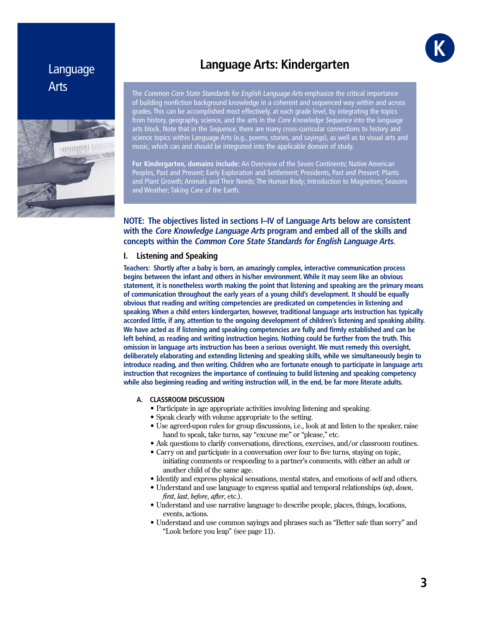# Language Arts



# **Language Arts: Kindergarten**

The Common Core State Standards for English Language Arts emphasize the critical importance of building nonfiction background knowledge in a coherent and sequenced way within and across grades. This can be accomplished most effectively, at each grade level, by integrating the topics from history, geography, science, and the arts in the *Core Knowledge Sequence* into the language arts block. Note that in the Sequence, there are many cross-curricular connections to history and science topics within Language Arts (e.g., poems, stories, and sayings), as well as to visual arts and music, which can and should be integrated into the applicable domain of study.

**For Kindergarten, domains include:** An Overview of the Seven Continents; Native American Peoples, Past and Present; Early Exploration and Settlement; Presidents, Past and Present; Plants and Plant Growth; Animals and Their Needs; The Human Body; Introduction to Magnetism; Seasons and Weather; Taking Care of the Earth.

# **NOTE: The objectives listed in sections I–IV of Language Arts below are consistent with the Core Knowledge Language Arts program and embed all of the skills and concepts within the Common Core State Standards for English Language Arts.**

# **I. Listening and Speaking**

**Teachers: Shortly after a baby is born, an amazingly complex, interactive communication process begins between the infant and others in his/her environment. While it may seem like an obvious statement, it is nonetheless worth making the point that listening and speaking are the primary means of communication throughout the early years of a young child's development. It should be equally obvious that reading and writing competencies are predicated on competencies in listening and speaking. When a child enters kindergarten, however, traditional language arts instruction has typically accorded little, if any, attention to the ongoing development of children's listening and speaking ability. We have acted as if listening and speaking competencies are fully and firmly established and can be left behind, as reading and writing instruction begins. Nothing could be further from the truth. This omission in language arts instruction has been a serious oversight. We must remedy this oversight, deliberately elaborating and extending listening and speaking skills, while we simultaneously begin to introduce reading, and then writing. Children who are fortunate enough to participate in language arts instruction that recognizes the importance of continuing to build listening and speaking competency while also beginning reading and writing instruction will, in the end, be far more literate adults.**

#### **A. CLASSROOM DISCUSSION**

- Participate in age appropriate activities involving listening and speaking.
- Speak clearly with volume appropriate to the setting.
- Use agreed-upon rules for group discussions, i.e., look at and listen to the speaker, raise hand to speak, take turns, say "excuse me" or "please," etc.
- Ask questions to clarify conversations, directions, exercises, and/or classroom routines.
- Carry on and participate in a conversation over four to five turns, staying on topic, initiating comments or responding to a partner's comments, with either an adult or another child of the same age.
- Identify and express physical sensations, mental states, and emotions of self and others.
- Understand and use language to express spatial and temporal relationships (up, down, *first, last, before, after, etc.).*
- Understand and use narrative language to describe people, places, things, locations, events, actions.
- Understand and use common sayings and phrases such as "Better safe than sorry" and "Look before you leap" (see page 11).

*GRAE* **K**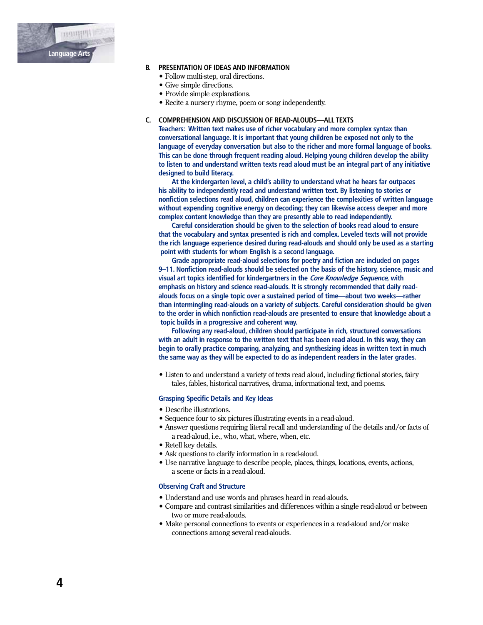

#### **B. PRESENTATION OF IDEAS AND INFORMATION**

- Follow multi-step, oral directions.
- Give simple directions.
- Provide simple explanations.
- Recite a nursery rhyme, poem or song independently.

#### **C. COMPREHENSION AND DISCUSSION OF READ-ALOUDS—ALL TEXTS**

 **Teachers: Written text makes use of richer vocabulary and more complex syntax than conversational language. It is important that young children be exposed not only to the language of everyday conversation but also to the richer and more formal language of books. This can be done through frequent reading aloud. Helping young children develop the ability to listen to and understand written texts read aloud must be an integral part of any initiative designed to build literacy.**

 **At the kindergarten level, a child's ability to understand what he hears far outpaces his ability to independently read and understand written text. By listening to stories or nonfiction selections read aloud, children can experience the complexities of written language without expending cognitive energy on decoding; they can likewise access deeper and more complex content knowledge than they are presently able to read independently.**

 **Careful consideration should be given to the selection of books read aloud to ensure that the vocabulary and syntax presented is rich and complex. Leveled texts will not provide the rich language experience desired during read-alouds and should only be used as a starting point with students for whom English is a second language.**

 **Grade appropriate read-aloud selections for poetry and fiction are included on pages 9–11. Nonfiction read-alouds should be selected on the basis of the history, science, music and visual art topics identified for kindergartners in the Core Knowledge Sequence, with emphasis on history and science read-alouds. It is strongly recommended that daily read alouds focus on a single topic over a sustained period of time—about two weeks—rather than intermingling read-alouds on a variety of subjects. Careful consideration should be given to the order in which nonfiction read-alouds are presented to ensure that knowledge about a topic builds in a progressive and coherent way.**

 **Following any read-aloud, children should participate in rich, structured conversations with an adult in response to the written text that has been read aloud. In this way, they can begin to orally practice comparing, analyzing, and synthesizing ideas in written text in much the same way as they will be expected to do as independent readers in the later grades.**

• Listen to and understand a variety of texts read aloud, including fictional stories, fairy tales, fables, historical narratives, drama, informational text, and poems.

# **Grasping Specific Details and Key Ideas**

- Describe illustrations.
- Sequence four to six pictures illustrating events in a read-aloud.
- Answer questions requiring literal recall and understanding of the details and/or facts of a read-aloud, i.e., who, what, where, when, etc.
- Retell key details.
- Ask questions to clarify information in a read-aloud.
- Use narrative language to describe people, places, things, locations, events, actions, a scene or facts in a read-aloud.

#### **Observing Craft and Structure**

- Understand and use words and phrases heard in read-alouds.
- Compare and contrast similarities and differences within a single read-aloud or between two or more read-alouds.
- Make personal connections to events or experiences in a read-aloud and/or make connections among several read-alouds.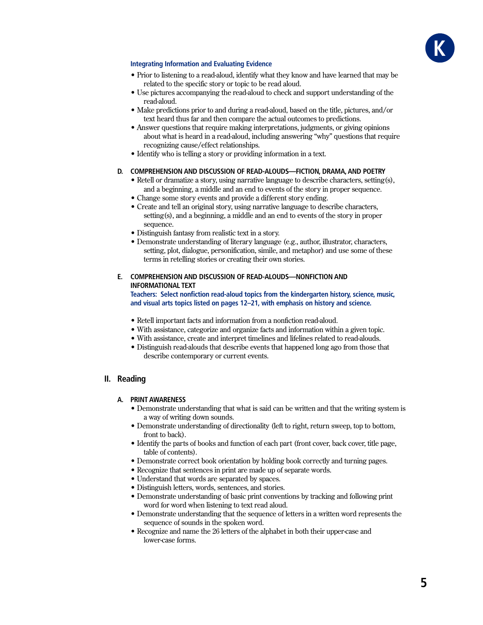

# **Integrating Information and Evaluating Evidence**

- Prior to listening to a read-aloud, identify what they know and have learned that may be related to the specific story or topic to be read aloud.
- Use pictures accompanying the read-aloud to check and support understanding of the read-aloud.
- Make predictions prior to and during a read-aloud, based on the title, pictures, and/or text heard thus far and then compare the actual outcomes to predictions.
- Answer questions that require making interpretations, judgments, or giving opinions about what is heard in a read-aloud, including answering "why" questions that require recognizing cause/effect relationships.
- Identify who is telling a story or providing information in a text.

## D. COMPREHENSION AND DISCUSSION OF READ-ALOUDS-FICTION, DRAMA, AND POETRY

- Retell or dramatize a story, using narrative language to describe characters, setting(s), and a beginning, a middle and an end to events of the story in proper sequence.
- Change some story events and provide a different story ending.
- Create and tell an original story, using narrative language to describe characters, setting(s), and a beginning, a middle and an end to events of the story in proper sequence.
- Distinguish fantasy from realistic text in a story.
- Demonstrate understanding of literary language (e.g., author, illustrator, characters, setting, plot, dialogue, personification, simile, and metaphor) and use some of these terms in retelling stories or creating their own stories.

# E. COMPREHENSION AND DISCUSSION OF READ-ALOUDS-NONFICTION AND **INFORMATIONAL TEXT**

Teachers: Select nonfiction read-aloud topics from the kindergarten history, science, music, and visual arts topics listed on pages 12-21, with emphasis on history and science.

- Retell important facts and information from a nonfiction read-aloud.
- With assistance, categorize and organize facts and information within a given topic.
- With assistance, create and interpret timelines and lifelines related to read-alouds.
- Distinguish read-alouds that describe events that happened long ago from those that describe contemporary or current events.

# II. Reading

## A. PRINT AWARENESS

- Demonstrate understanding that what is said can be written and that the writing system is a way of writing down sounds.
- Demonstrate understanding of directionality (left to right, return sweep, top to bottom, front to back).
- Identify the parts of books and function of each part (front cover, back cover, title page, table of contents).
- Demonstrate correct book orientation by holding book correctly and turning pages.
- Recognize that sentences in print are made up of separate words.
- Understand that words are separated by spaces.
- Distinguish letters, words, sentences, and stories.
- Demonstrate understanding of basic print conventions by tracking and following print word for word when listening to text read aloud.
- Demonstrate understanding that the sequence of letters in a written word represents the sequence of sounds in the spoken word.
- Recognize and name the 26 letters of the alphabet in both their upper-case and lower-case forms.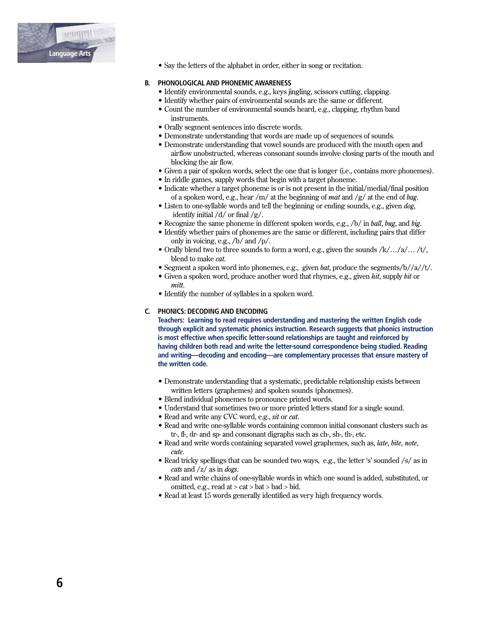

• Say the letters of the alphabet in order, either in song or recitation.

# **B. PHONOLOGICAL AND PHONEMIC AWARENESS**

- Identify environmental sounds, e.g., keys jingling, scissors cutting, clapping.
- Identify whether pairs of environmental sounds are the same or different.
- Count the number of environmental sounds heard, e.g., clapping, rhythm band instruments.
- Orally segment sentences into discrete words.
- Demonstrate understanding that words are made up of sequences of sounds.
- Demonstrate understanding that vowel sounds are produced with the mouth open and airflow unobstructed, whereas consonant sounds involve closing parts of the mouth and blocking the air flow.
- Given a pair of spoken words, select the one that is longer (i.e., contains more phonemes).
- In riddle games, supply words that begin with a target phoneme.
- Indicate whether a target phoneme is or is not present in the initial/medial/final position of a spoken word, e.g., hear /m/ at the beginning of *mat* and /g/ at the end of *bag*.
- Listen to one-syllable words and tell the beginning or ending sounds, e.g., given dog, identify initial  $\frac{d}{dx}$  or final  $\frac{g}{.}$
- Recognize the same phoneme in different spoken words, e.g., /b/ in ball, bug, and big.
- Identify whether pairs of phonemes are the same or different, including pairs that differ only in voicing, e.g.,  $/b/$  and  $/p/$ .
- Orally blend two to three sounds to form a word, e.g., given the sounds  $/k/$ .../a/.../t/, blend to make *cat*.
- Segment a spoken word into phonemes, e.g., given bat, produce the segments/ $b//a//t/$ .
- Given a spoken word, produce another word that rhymes, e.g., given hit, supply bit or *mitt*
- Identify the number of syllables in a spoken word.

#### C. PHONICS: DECODING AND ENCODING

Teachers: Learning to read requires understanding and mastering the written English code through explicit and systematic phonics instruction. Research suggests that phonics instruction is most effective when specific letter-sound relationships are taught and reinforced by having children both read and write the letter-sound correspondence being studied. Reading and writing—decoding and encoding—are complementary processes that ensure mastery of the written code.

- Demonstrate understanding that a systematic, predictable relationship exists between written letters (graphemes) and spoken sounds (phonemes).
- Blend individual phonemes to pronounce printed words.
- Understand that sometimes two or more printed letters stand for a single sound.
- Read and write any CVC word, e.g., sit or cat.
- Read and write one-syllable words containing common initial consonant clusters such as tr-, fl-, dr- and sp- and consonant digraphs such as ch-, sh-, th-, etc.
- . Read and write words containing separated vowel graphemes, such as, *late, bite, note*, cute.
- Read tricky spellings that can be sounded two ways, e.g., the letter 's' sounded /s/ as in cats and  $\frac{z}{\sin \theta}$  as in *dogs*.
- Read and write chains of one-syllable words in which one sound is added, substituted, or omitted, e.g., read at > cat > bat > bad > bid.
- Read at least 15 words generally identified as very high frequency words.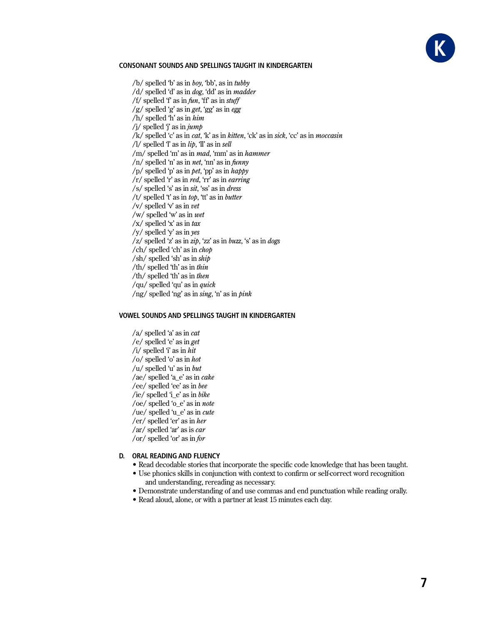

## **CONSONANT SOUNDS AND SPELLINGS TAUGHT IN KINDERGARTEN**

 $/b$  spelled 'b' as in *boy*, 'bb', as in *tubby* /d/ spelled 'd' as in *dog*, 'dd' as in *madder* /f/ spelled 'f' as in  $fun$ , 'ff' as in  $stuff$ /g/ spelled 'g' as in get, 'gg' as in egg  $/h/$  spelled 'h' as in  $him$ /j/ spelled  $\ddot{\mathbf{i}}$  as in  $\dot{\mathbf{i}}$ /k/ spelled 'c' as in *cat*, 'k' as in *kitten*, 'ck' as in *sick*, 'cc' as in *moccasin* /l/ spelled  $T$  as in  $lip$ ,  $T$  as in sell /m/ spelled 'm' as in *mad*, 'mm' as in *hammer*  $/n/$  spelled 'n' as in *net*, 'nn' as in *funny* /p/ spelled 'p' as in *pet*, 'pp' as in *happy*  $\vert r \vert$  spelled 'r' as in *red*, 'rr' as in *earring* /s/ spelled 's' as in sit, 'ss' as in dress /t/ spelled 't' as in top, 'tt' as in butter /v/ spelled  $\forall$  as in vet /w/ spelled 'w' as in  $wet$  $\sqrt{x}$  spelled 'x' as in tax /y/ spelled 'y' as in yes  $\langle z \rangle$  spelled 'z' as in zip, 'zz' as in buzz, 's' as in dogs /ch/ spelled 'ch' as in *chop*  $\sin(\sinh\theta)$  spelled 'sh' as in  $\sinh\theta$ /th/ spelled 'th' as in thin /th/ spelled 'th' as in then /qu/ spelled 'qu' as in *quick* /ng/ spelled 'ng' as in sing, 'n' as in pink

#### VOWEL SOUNDS AND SPELLINGS TAUGHT IN KINDERGARTEN

 $/a$  spelled 'a' as in *cat* /e/ spelled 'e' as in get /i/ spelled  $\hat{\mathbf{i}}$  as in hit /o/ spelled 'o' as in hot /u/ spelled 'u' as in  $but$ /ae/ spelled 'a e' as in  $\alpha$ ke /ee/ spelled 'ee' as in bee /ie/ spelled 'i\_e' as in bike /oe/ spelled 'o\_e' as in note /ue/ spelled 'u\_e' as in cute /er/ spelled 'er' as in her /ar/ spelled 'ar' as is  $car$ /or/ spelled 'or' as in for

## D. ORAL READING AND FLUENCY

- Read decodable stories that incorporate the specific code knowledge that has been taught.
	- Use phonics skills in conjunction with context to confirm or self-correct word recognition and understanding, rereading as necessary.
	- Demonstrate understanding of and use commas and end punctuation while reading orally.
	- Read aloud, alone, or with a partner at least 15 minutes each day.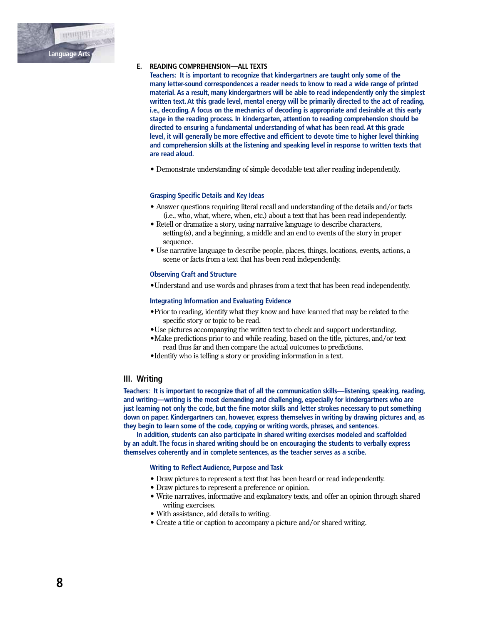

# E. READING COMPREHENSION-ALL TEXTS

Teachers: It is important to recognize that kindergartners are taught only some of the many letter-sound correspondences a reader needs to know to read a wide range of printed material. As a result, many kindergartners will be able to read independently only the simplest written text. At this grade level, mental energy will be primarily directed to the act of reading, i.e., decoding. A focus on the mechanics of decoding is appropriate and desirable at this early stage in the reading process. In kindergarten, attention to reading comprehension should be directed to ensuring a fundamental understanding of what has been read. At this grade level, it will generally be more effective and efficient to devote time to higher level thinking and comprehension skills at the listening and speaking level in response to written texts that are read aloud.

• Demonstrate understanding of simple decodable text after reading independently.

## **Grasping Specific Details and Key Ideas**

- Answer questions requiring literal recall and understanding of the details and/or facts (i.e., who, what, where, when, etc.) about a text that has been read independently.
- Retell or dramatize a story, using narrative language to describe characters, setting(s), and a beginning, a middle and an end to events of the story in proper sequence.
- Use narrative language to describe people, places, things, locations, events, actions, a scene or facts from a text that has been read independently.

#### **Observing Craft and Structure**

• Understand and use words and phrases from a text that has been read independently.

#### **Integrating Information and Evaluating Evidence**

- . Prior to reading, identify what they know and have learned that may be related to the specific story or topic to be read.
- Use pictures accompanying the written text to check and support understanding.
- Make predictions prior to and while reading, based on the title, pictures, and/or text read thus far and then compare the actual outcomes to predictions.
- Identify who is telling a story or providing information in a text.

## III. Writina

Teachers: It is important to recognize that of all the communication skills-listening, speaking, reading, and writing—writing is the most demanding and challenging, especially for kindergartners who are just learning not only the code, but the fine motor skills and letter strokes necessary to put something down on paper. Kindergartners can, however, express themselves in writing by drawing pictures and, as they begin to learn some of the code, copying or writing words, phrases, and sentences.

In addition, students can also participate in shared writing exercises modeled and scaffolded by an adult. The focus in shared writing should be on encouraging the students to verbally express themselves coherently and in complete sentences, as the teacher serves as a scribe.

# **Writing to Reflect Audience, Purpose and Task**

- Draw pictures to represent a text that has been heard or read independently.
- Draw pictures to represent a preference or opinion.
- Write narratives, informative and explanatory texts, and offer an opinion through shared writing exercises.
- With assistance, add details to writing.
- Create a title or caption to accompany a picture and/or shared writing.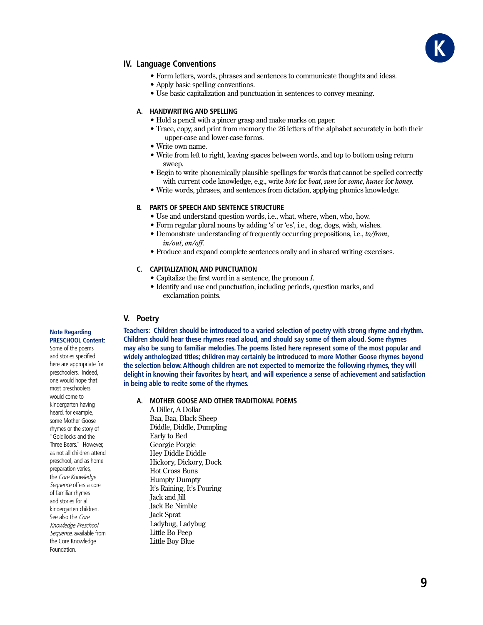

# **IV. Language Conventions**

- Form letters, words, phrases and sentences to communicate thoughts and ideas.
- Apply basic spelling conventions.
- Use basic capitalization and punctuation in sentences to convey meaning.

#### A. HANDWRITING AND SPELLING

- Hold a pencil with a pincer grasp and make marks on paper.
- Trace, copy, and print from memory the 26 letters of the alphabet accurately in both their upper-case and lower-case forms.
- Write own name.
- Write from left to right, leaving spaces between words, and top to bottom using return sween.
- Begin to write phonemically plausible spellings for words that cannot be spelled correctly with current code knowledge, e.g., write *bote* for *boat*, sum for some, hunee for honey.
- Write words, phrases, and sentences from dictation, applying phonics knowledge.

## **B. PARTS OF SPEECH AND SENTENCE STRUCTURE**

- Use and understand question words, i.e., what, where, when, who, how.
- Form regular plural nouns by adding 's' or 'es', i.e., dog, dogs, wish, wishes.
- Demonstrate understanding of frequently occurring prepositions, i.e., to/from, in/out, on/off.
- Produce and expand complete sentences orally and in shared writing exercises.

# C. CAPITALIZATION, AND PUNCTUATION

- $\bullet$  Capitalize the first word in a sentence, the pronoun  $I$ .
- Identify and use end punctuation, including periods, question marks, and exclamation points.

# V. Poetry

Teachers: Children should be introduced to a varied selection of poetry with strong rhyme and rhythm. Children should hear these rhymes read aloud, and should say some of them aloud. Some rhymes may also be sung to familiar melodies. The poems listed here represent some of the most popular and widely anthologized titles; children may certainly be introduced to more Mother Goose rhymes beyond the selection below. Although children are not expected to memorize the following rhymes, they will delight in knowing their favorites by heart, and will experience a sense of achievement and satisfaction in being able to recite some of the rhymes.

A. MOTHER GOOSE AND OTHER TRADITIONAL POEMS

A Diller. A Dollar Baa, Baa, Black Sheep Diddle, Diddle, Dumpling Early to Bed Georgie Porgie **Hev Diddle Diddle** Hickory, Dickory, Dock **Hot Cross Buns Humpty Dumpty** It's Raining, It's Pouring Jack and Jill Jack Be Nimble **Jack Sprat** Ladybug, Ladybug Little Bo Peep Little Boy Blue

**Note Regarding PRESCHOOL Content:** 

Some of the poems and stories specified here are appropriate for preschoolers. Indeed, one would hope that most preschoolers would come to kindergarten having heard, for example, some Mother Goose rhymes or the story of "Goldilocks and the Three Bears." However. as not all children attend preschool, and as home preparation varies, the Core Knowledge Sequence offers a core of familiar rhymes and stories for all kindergarten children. See also the Core Knowledge Preschool Sequence, available from the Core Knowledge Foundation.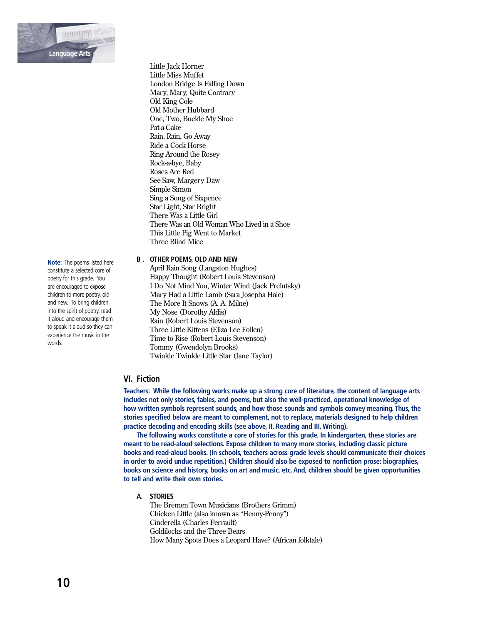

Little Jack Horner Little Miss Muffet London Bridge Is Falling Down Mary, Mary, Quite Contrary Old King Cole Old Mother Hubbard One, Two, Buckle My Shoe Pat-a-Cake Rain, Rain, Go Away Ride a Cock-Horse **Ring Around the Rosey** Rock-a-bye, Baby Roses Are Red See-Saw, Margery Daw Simple Simon Sing a Song of Sixpence Star Light, Star Bright There Was a Little Girl There Was an Old Woman Who Lived in a Shoe This Little Pig Went to Market Three Blind Mice

# **B. OTHER POEMS, OLD AND NEW**

April Rain Song (Langston Hughes) Happy Thought (Robert Louis Stevenson) I Do Not Mind You, Winter Wind (Jack Prelutsky) Mary Had a Little Lamb (Sara Josepha Hale) The More It Snows (A. A. Milne) My Nose (Dorothy Aldis) Rain (Robert Louis Stevenson) Three Little Kittens (Eliza Lee Follen) Time to Rise (Robert Louis Stevenson) Tommy (Gwendolyn Brooks) Twinkle Twinkle Little Star (Jane Taylor)

# **VI.** Fiction

Teachers: While the following works make up a strong core of literature, the content of language arts includes not only stories, fables, and poems, but also the well-practiced, operational knowledge of how written symbols represent sounds, and how those sounds and symbols convey meaning. Thus, the stories specified below are meant to complement, not to replace, materials designed to help children practice decoding and encoding skills (see above, II. Reading and III. Writing).

The following works constitute a core of stories for this grade. In kindergarten, these stories are meant to be read-aloud selections. Expose children to many more stories, including classic picture books and read-aloud books. (In schools, teachers across grade levels should communicate their choices in order to avoid undue repetition.) Children should also be exposed to nonfiction prose: biographies, books on science and history, books on art and music, etc. And, children should be given opportunities to tell and write their own stories.

A. STORIES

The Bremen Town Musicians (Brothers Grimm) Chicken Little (also known as "Henny-Penny") Cinderella (Charles Perrault) Goldilocks and the Three Bears How Many Spots Does a Leopard Have? (African folktale)

Note: The poems listed here constitute a selected core of poetry for this grade. You are encouraged to expose children to more poetry, old and new. To bring children into the spirit of poetry, read it aloud and encourage them to speak it aloud so they can experience the music in the words.